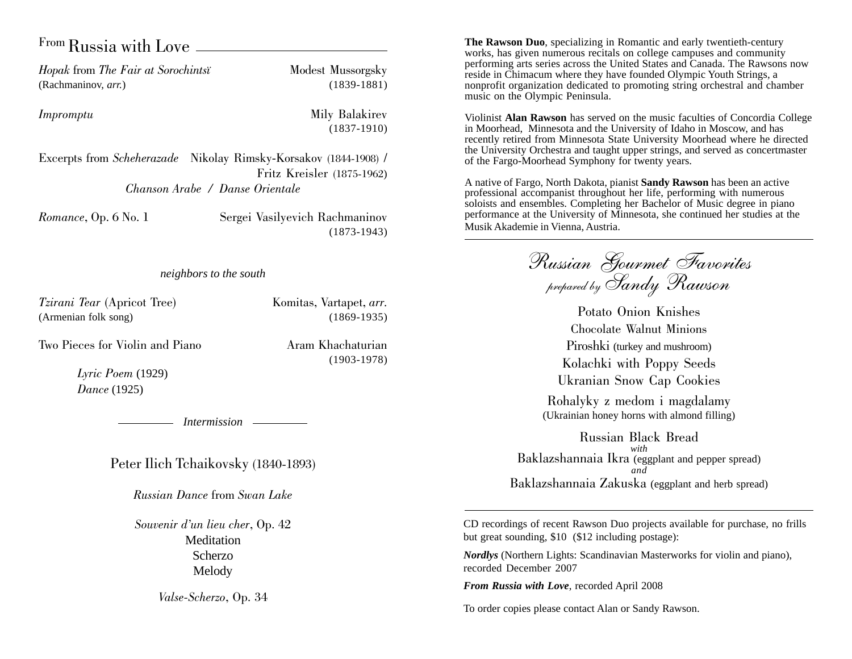### From Russia with Love

*Hopak* from *The Fair at Sorochintsi* Modest Mussorgsky (Rachmaninov, *arr.*) (1839-1881)

*Impromptu* Mily Balakirev (1837-1910)

Excerpts from *Scheherazade* Nikolay Rimsky-Korsakov (1844-1908) / Fritz Kreisler (1875-1962) *Chanson Arabe / Danse Orientale*

*Romance*, Op. 6 No. 1 Sergei Vasilyevich Rachmaninov (1873-1943)

#### *neighbors to the south*

*Tzirani Tear* (Apricot Tree) Komitas, Vartapet, *arr.* (Armenian folk song) (1869-1935)

Two Pieces for Violin and Piano Aram Khachaturian

(1903-1978)

*Lyric Poem* (1929) *Dance* (1925)

*Intermission*

Peter Ilich Tchaikovsky (1840-1893)

*Russian Dance* from *Swan Lake*

*Souvenir d'un lieu cher*, Op. 42 Meditation Scherzo Melody

*Valse-Scherzo*, Op. 34

**The Rawson Duo**, specializing in Romantic and early twentieth-century works, has given numerous recitals on college campuses and community performing arts series across the United States and Canada. The Rawsons now reside in Chimacum where they have founded Olympic Youth Strings, a nonprofit organization dedicated to promoting string orchestral and chamber music on the Olympic Peninsula.

Violinist **Alan Rawson** has served on the music faculties of Concordia College in Moorhead, Minnesota and the University of Idaho in Moscow, and has recently retired from Minnesota State University Moorhead where he directed the University Orchestra and taught upper strings, and served as concertmaster of the Fargo-Moorhead Symphony for twenty years.

A native of Fargo, North Dakota, pianist **Sandy Rawson** has been an active professional accompanist throughout her life, performing with numerous soloists and ensembles. Completing her Bachelor of Music degree in piano performance at the University of Minnesota, she continued her studies at the Musik Akademie in Vienna, Austria.

Russian Gourmet Favorites prepared by Sandy Rawson

Potato Onion Knishes Chocolate Walnut Minions Piroshki (turkey and mushroom) Kolachki with Poppy Seeds Ukranian Snow Cap Cookies

Rohalyky z medom i magdalamy (Ukrainian honey horns with almond filling)

Russian Black Bread *with* Baklazshannaia Ikra (eggplant and pepper spread) *and* Baklazshannaia Zakuska (eggplant and herb spread)

CD recordings of recent Rawson Duo projects available for purchase, no frills but great sounding, \$10 (\$12 including postage):

*Nordlys* (Northern Lights: Scandinavian Masterworks for violin and piano), recorded December 2007

*From Russia with Love*, recorded April 2008

To order copies please contact Alan or Sandy Rawson.